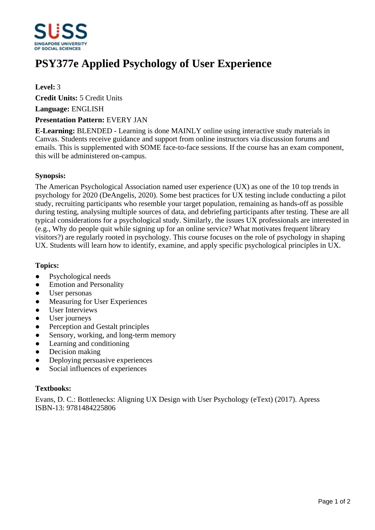

# **PSY377e Applied Psychology of User Experience**

### **Level:** 3

**Credit Units:** 5 Credit Units

**Language:** ENGLISH

#### **Presentation Pattern:** EVERY JAN

**E-Learning:** BLENDED - Learning is done MAINLY online using interactive study materials in Canvas. Students receive guidance and support from online instructors via discussion forums and emails. This is supplemented with SOME face-to-face sessions. If the course has an exam component, this will be administered on-campus.

#### **Synopsis:**

The American Psychological Association named user experience (UX) as one of the 10 top trends in psychology for 2020 (DeAngelis, 2020). Some best practices for UX testing include conducting a pilot study, recruiting participants who resemble your target population, remaining as hands-off as possible during testing, analysing multiple sources of data, and debriefing participants after testing. These are all typical considerations for a psychological study. Similarly, the issues UX professionals are interested in (e.g., Why do people quit while signing up for an online service? What motivates frequent library visitors?) are regularly rooted in psychology. This course focuses on the role of psychology in shaping UX. Students will learn how to identify, examine, and apply specific psychological principles in UX.

#### **Topics:**

- Psychological needs
- Emotion and Personality
- User personas
- Measuring for User Experiences
- User Interviews
- User journeys
- Perception and Gestalt principles
- Sensory, working, and long-term memory
- Learning and conditioning
- Decision making
- ƔDeploying persuasive experiences
- Social influences of experiences

#### **Textbooks:**

Evans, D. C.: Bottlenecks: Aligning UX Design with User Psychology (eText) (2017). Apress ISBN-13: 9781484225806